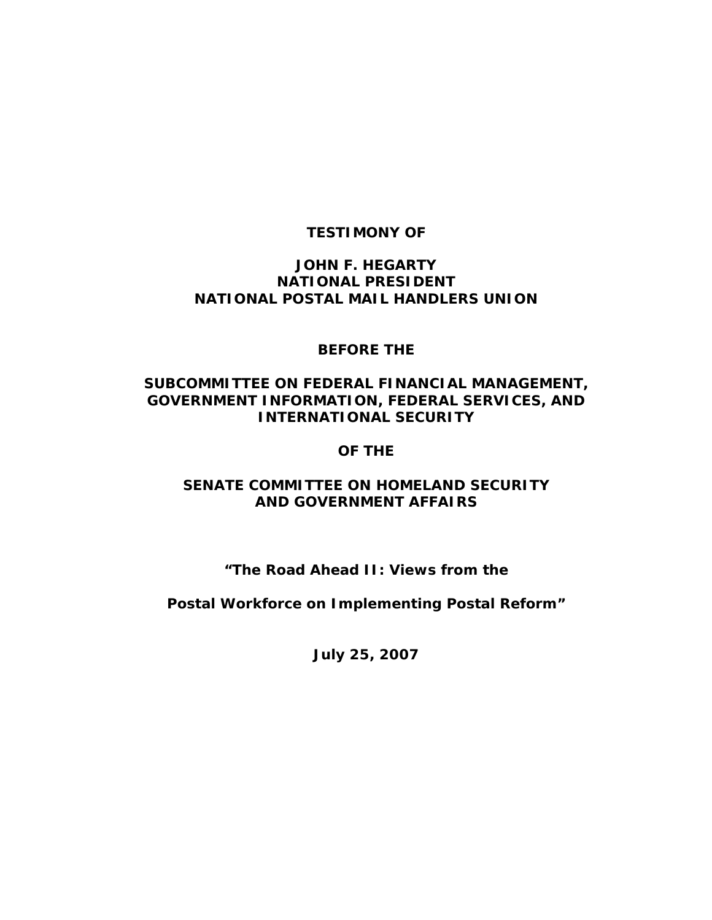# **TESTIMONY OF**

### **JOHN F. HEGARTY NATIONAL PRESIDENT NATIONAL POSTAL MAIL HANDLERS UNION**

#### **BEFORE THE**

### **SUBCOMMITTEE ON FEDERAL FINANCIAL MANAGEMENT, GOVERNMENT INFORMATION, FEDERAL SERVICES, AND INTERNATIONAL SECURITY**

#### **OF THE**

### **SENATE COMMITTEE ON HOMELAND SECURITY AND GOVERNMENT AFFAIRS**

# **"The Road Ahead II: Views from the**

**Postal Workforce on Implementing Postal Reform"** 

**July 25, 2007**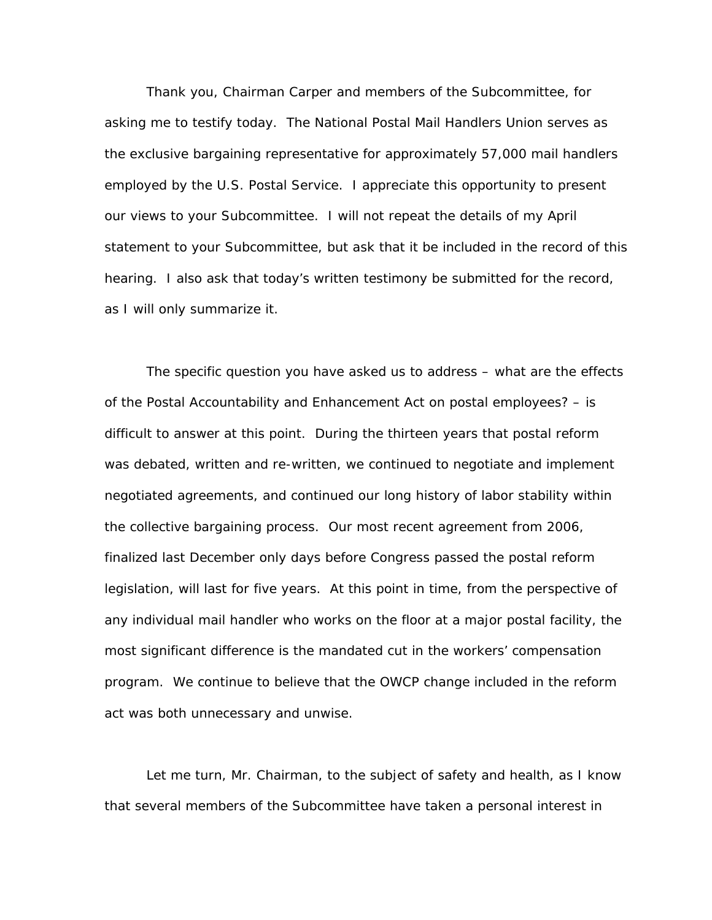Thank you, Chairman Carper and members of the Subcommittee, for asking me to testify today. The National Postal Mail Handlers Union serves as the exclusive bargaining representative for approximately 57,000 mail handlers employed by the U.S. Postal Service. I appreciate this opportunity to present our views to your Subcommittee. I will not repeat the details of my April statement to your Subcommittee, but ask that it be included in the record of this hearing. I also ask that today's written testimony be submitted for the record, as I will only summarize it.

 The specific question you have asked us to address – what are the effects of the Postal Accountability and Enhancement Act on postal employees? – is difficult to answer at this point. During the thirteen years that postal reform was debated, written and re-written, we continued to negotiate and implement negotiated agreements, and continued our long history of labor stability within the collective bargaining process. Our most recent agreement from 2006, finalized last December only days before Congress passed the postal reform legislation, will last for five years. At this point in time, from the perspective of any individual mail handler who works on the floor at a major postal facility, the most significant difference is the mandated cut in the workers' compensation program. We continue to believe that the OWCP change included in the reform act was both unnecessary and unwise.

 Let me turn, Mr. Chairman, to the subject of safety and health, as I know that several members of the Subcommittee have taken a personal interest in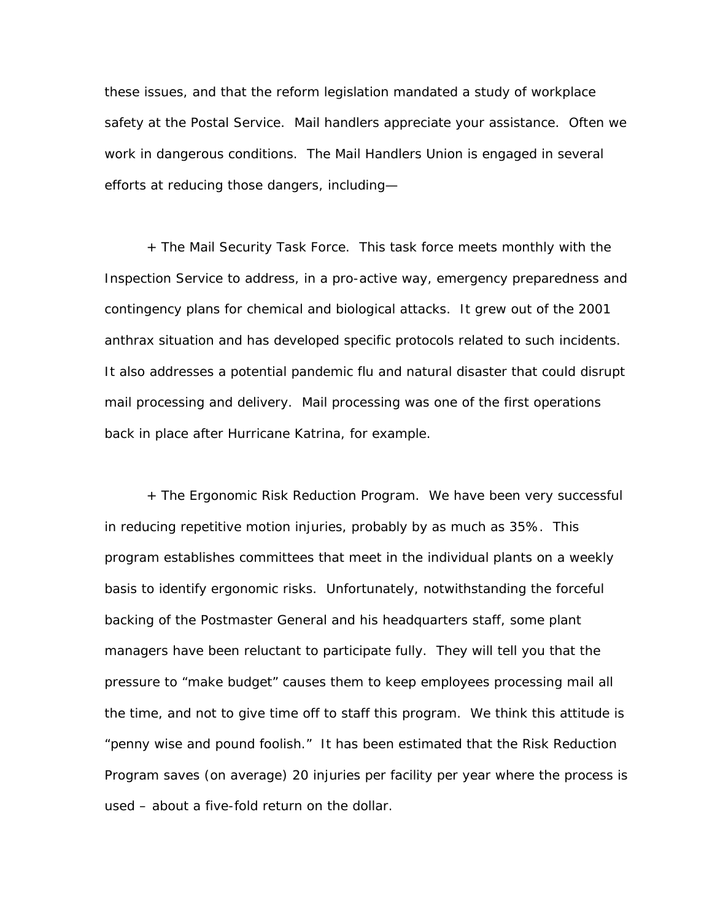these issues, and that the reform legislation mandated a study of workplace safety at the Postal Service. Mail handlers appreciate your assistance. Often we work in dangerous conditions. The Mail Handlers Union is engaged in several efforts at reducing those dangers, including—

 + The Mail Security Task Force. This task force meets monthly with the Inspection Service to address, in a pro-active way, emergency preparedness and contingency plans for chemical and biological attacks. It grew out of the 2001 anthrax situation and has developed specific protocols related to such incidents. It also addresses a potential pandemic flu and natural disaster that could disrupt mail processing and delivery. Mail processing was one of the first operations back in place after Hurricane Katrina, for example.

 + The Ergonomic Risk Reduction Program. We have been very successful in reducing repetitive motion injuries, probably by as much as 35%. This program establishes committees that meet in the individual plants on a weekly basis to identify ergonomic risks. Unfortunately, notwithstanding the forceful backing of the Postmaster General and his headquarters staff, some plant managers have been reluctant to participate fully. They will tell you that the pressure to "make budget" causes them to keep employees processing mail all the time, and not to give time off to staff this program. We think this attitude is "penny wise and pound foolish." It has been estimated that the Risk Reduction Program saves (on average) 20 injuries per facility per year where the process is used – about a five-fold return on the dollar.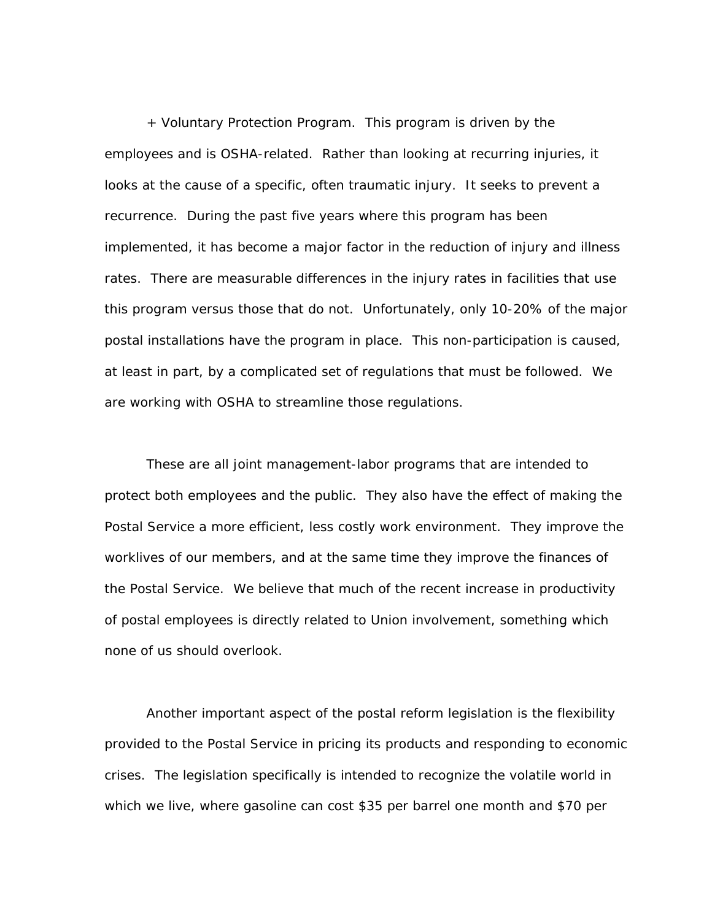+ Voluntary Protection Program. This program is driven by the employees and is OSHA-related. Rather than looking at recurring injuries, it looks at the cause of a specific, often traumatic injury. It seeks to prevent a recurrence. During the past five years where this program has been implemented, it has become a major factor in the reduction of injury and illness rates. There are measurable differences in the injury rates in facilities that use this program versus those that do not. Unfortunately, only 10-20% of the major postal installations have the program in place. This non-participation is caused, at least in part, by a complicated set of regulations that must be followed. We are working with OSHA to streamline those regulations.

 These are all joint management-labor programs that are intended to protect both employees and the public. They also have the effect of making the Postal Service a more efficient, less costly work environment. They improve the worklives of our members, and at the same time they improve the finances of the Postal Service. We believe that much of the recent increase in productivity of postal employees is directly related to Union involvement, something which none of us should overlook.

 Another important aspect of the postal reform legislation is the flexibility provided to the Postal Service in pricing its products and responding to economic crises. The legislation specifically is intended to recognize the volatile world in which we live, where gasoline can cost \$35 per barrel one month and \$70 per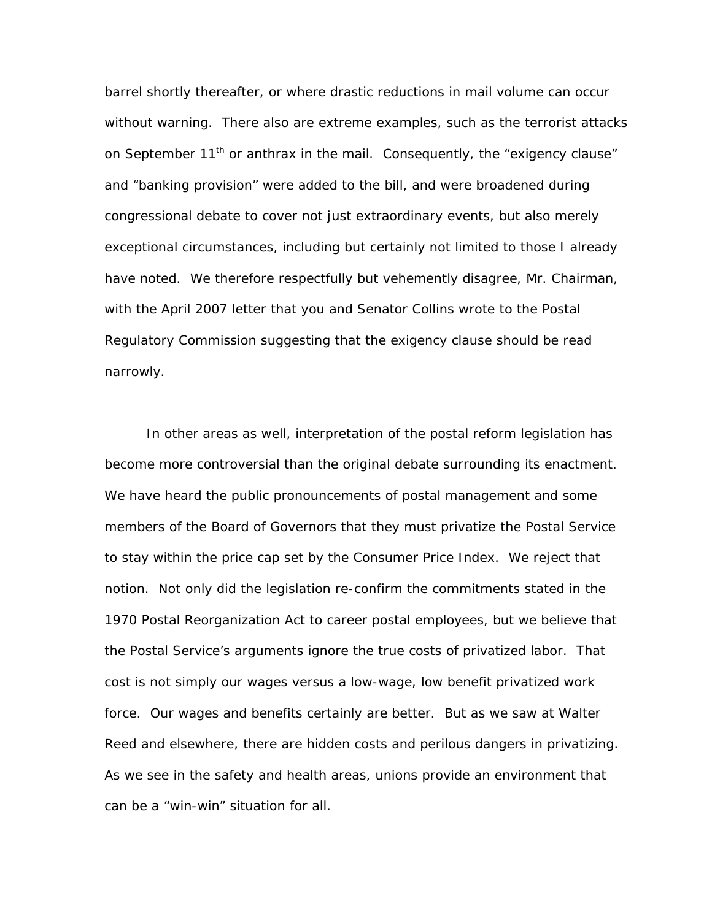barrel shortly thereafter, or where drastic reductions in mail volume can occur without warning. There also are extreme examples, such as the terrorist attacks on September  $11<sup>th</sup>$  or anthrax in the mail. Consequently, the "exigency clause" and "banking provision" were added to the bill, and were broadened during congressional debate to cover not just extraordinary events, but also merely exceptional circumstances, including but certainly not limited to those I already have noted. We therefore respectfully but vehemently disagree, Mr. Chairman, with the April 2007 letter that you and Senator Collins wrote to the Postal Regulatory Commission suggesting that the exigency clause should be read narrowly.

 In other areas as well, interpretation of the postal reform legislation has become more controversial than the original debate surrounding its enactment. We have heard the public pronouncements of postal management and some members of the Board of Governors that they must privatize the Postal Service to stay within the price cap set by the Consumer Price Index. We reject that notion. Not only did the legislation re-confirm the commitments stated in the 1970 Postal Reorganization Act to career postal employees, but we believe that the Postal Service's arguments ignore the true costs of privatized labor. That cost is not simply our wages versus a low-wage, low benefit privatized work force. Our wages and benefits certainly are better. But as we saw at Walter Reed and elsewhere, there are hidden costs and perilous dangers in privatizing. As we see in the safety and health areas, unions provide an environment that can be a "win-win" situation for all.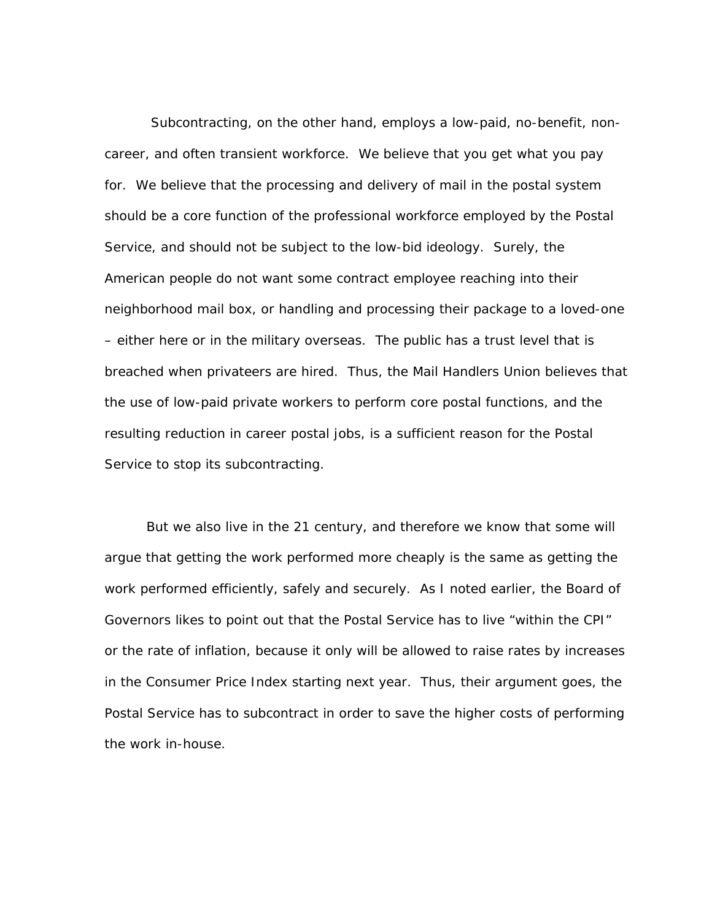Subcontracting, on the other hand, employs a low-paid, no-benefit, noncareer, and often transient workforce. We believe that you get what you pay for. We believe that the processing and delivery of mail in the postal system should be a core function of the professional workforce employed by the Postal Service, and should not be subject to the low-bid ideology. Surely, the American people do not want some contract employee reaching into their neighborhood mail box, or handling and processing their package to a loved-one – either here or in the military overseas. The public has a trust level that is breached when privateers are hired. Thus, the Mail Handlers Union believes that the use of low-paid private workers to perform core postal functions, and the resulting reduction in career postal jobs, is a sufficient reason for the Postal Service to stop its subcontracting.

 But we also live in the 21 century, and therefore we know that some will argue that getting the work performed more cheaply is the same as getting the work performed efficiently, safely and securely. As I noted earlier, the Board of Governors likes to point out that the Postal Service has to live "within the CPI" or the rate of inflation, because it only will be allowed to raise rates by increases in the Consumer Price Index starting next year. Thus, their argument goes, the Postal Service has to subcontract in order to save the higher costs of performing the work in-house.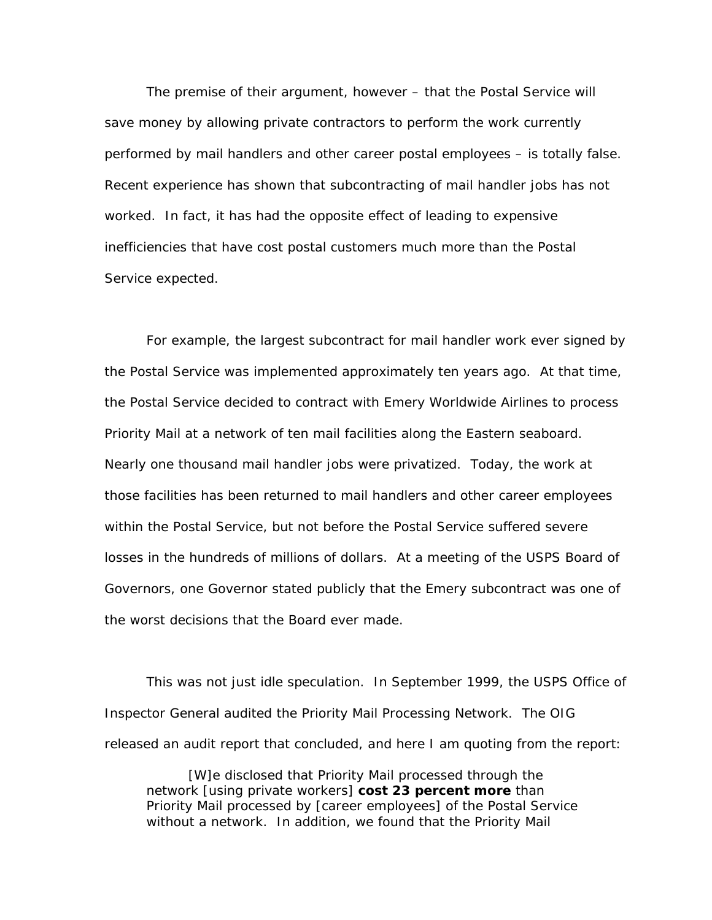The premise of their argument, however – that the Postal Service will save money by allowing private contractors to perform the work currently performed by mail handlers and other career postal employees – is totally false. Recent experience has shown that subcontracting of mail handler jobs has not worked. In fact, it has had the opposite effect of leading to expensive inefficiencies that have cost postal customers much more than the Postal Service expected.

 For example, the largest subcontract for mail handler work ever signed by the Postal Service was implemented approximately ten years ago. At that time, the Postal Service decided to contract with Emery Worldwide Airlines to process Priority Mail at a network of ten mail facilities along the Eastern seaboard. Nearly one thousand mail handler jobs were privatized. Today, the work at those facilities has been returned to mail handlers and other career employees within the Postal Service, but not before the Postal Service suffered severe losses in the hundreds of millions of dollars. At a meeting of the USPS Board of Governors, one Governor stated publicly that the Emery subcontract was one of the worst decisions that the Board ever made.

 This was not just idle speculation. In September 1999, the USPS Office of Inspector General audited the Priority Mail Processing Network. The OIG released an audit report that concluded, and here I am quoting from the report:

 [W]e disclosed that Priority Mail processed through the network [using private workers] **cost 23 percent more** than Priority Mail processed by [career employees] of the Postal Service without a network. In addition, we found that the Priority Mail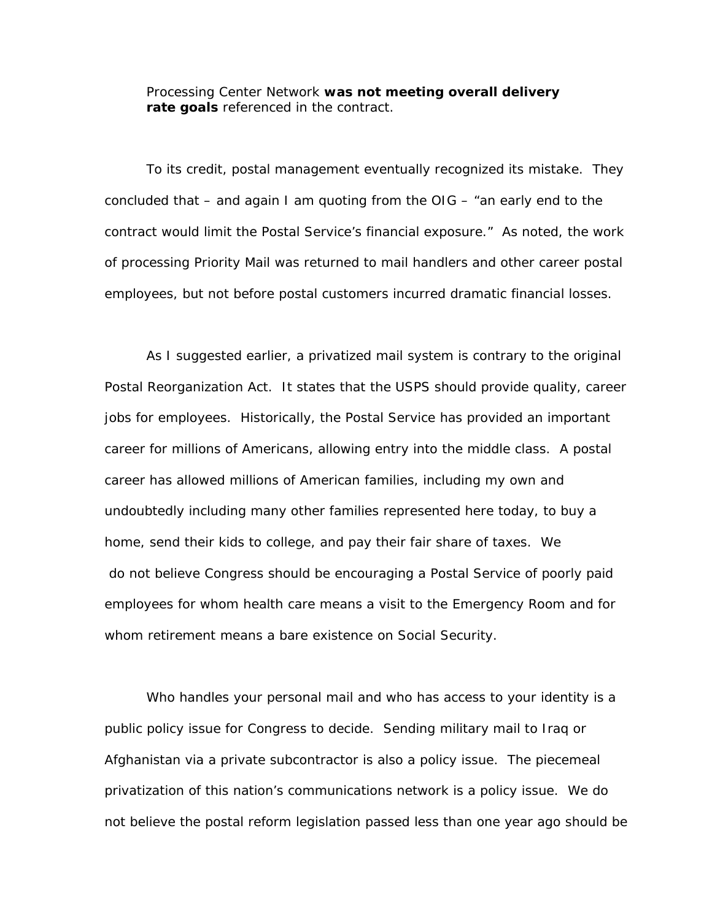Processing Center Network **was not meeting overall delivery rate goals** referenced in the contract.

 To its credit, postal management eventually recognized its mistake. They concluded that – and again I am quoting from the OIG – "an early end to the contract would limit the Postal Service's financial exposure." As noted, the work of processing Priority Mail was returned to mail handlers and other career postal employees, but not before postal customers incurred dramatic financial losses.

 As I suggested earlier, a privatized mail system is contrary to the original Postal Reorganization Act. It states that the USPS should provide quality, career jobs for employees. Historically, the Postal Service has provided an important career for millions of Americans, allowing entry into the middle class. A postal career has allowed millions of American families, including my own and undoubtedly including many other families represented here today, to buy a home, send their kids to college, and pay their fair share of taxes. We do not believe Congress should be encouraging a Postal Service of poorly paid employees for whom health care means a visit to the Emergency Room and for whom retirement means a bare existence on Social Security.

 Who handles your personal mail and who has access to your identity is a public policy issue for Congress to decide. Sending military mail to Iraq or Afghanistan via a private subcontractor is also a policy issue. The piecemeal privatization of this nation's communications network is a policy issue. We do not believe the postal reform legislation passed less than one year ago should be